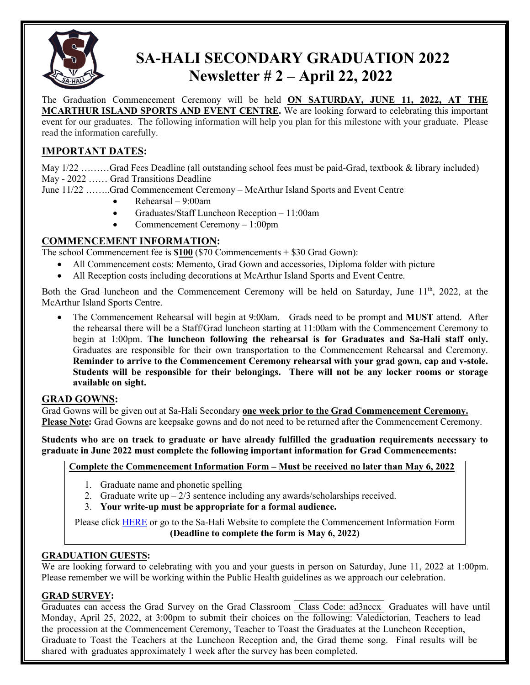

# **SA-HALI SECONDARY GRADUATION 2022 Newsletter # 2 – April 22, 2022**

The Graduation Commencement Ceremony will be held **ON SATURDAY, JUNE 11, 2022, AT THE MCARTHUR ISLAND SPORTS AND EVENT CENTRE.** We are looking forward to celebrating this important event for our graduates. The following information will help you plan for this milestone with your graduate. Please read the information carefully.

# **IMPORTANT DATES:**

May 1/22 ………Grad Fees Deadline (all outstanding school fees must be paid-Grad, textbook & library included) May - 2022 …… Grad Transitions Deadline

June 11/22 ……..Grad Commencement Ceremony – McArthur Island Sports and Event Centre

- Rehearsal 9:00am
- Graduates/Staff Luncheon Reception 11:00am
- Commencement Ceremony 1:00pm

# **COMMENCEMENT INFORMATION:**

The school Commencement fee is **\$100** (\$70 Commencements + \$30 Grad Gown):

- All Commencement costs: Memento, Grad Gown and accessories, Diploma folder with picture
- All Reception costs including decorations at McArthur Island Sports and Event Centre.

Both the Grad luncheon and the Commencement Ceremony will be held on Saturday, June  $11<sup>th</sup>$ , 2022, at the McArthur Island Sports Centre.

• The Commencement Rehearsal will begin at 9:00am. Grads need to be prompt and **MUST** attend. After the rehearsal there will be a Staff/Grad luncheon starting at 11:00am with the Commencement Ceremony to begin at 1:00pm. **The luncheon following the rehearsal is for Graduates and Sa-Hali staff only.** Graduates are responsible for their own transportation to the Commencement Rehearsal and Ceremony. **Reminder to arrive to the Commencement Ceremony rehearsal with your grad gown, cap and v-stole. Students will be responsible for their belongings. There will not be any locker rooms or storage available on sight.**

# **GRAD GOWNS:**

Grad Gowns will be given out at Sa-Hali Secondary **one week prior to the Grad Commencement Ceremony. Please Note:** Grad Gowns are keepsake gowns and do not need to be returned after the Commencement Ceremony.

**Students who are on track to graduate or have already fulfilled the graduation requirements necessary to graduate in June 2022 must complete the following important information for Grad Commencements:** 

# **Complete the Commencement Information Form – Must be received no later than May 6, 2022**

- 1. Graduate name and phonetic spelling
- 2. Graduate write  $up 2/3$  sentence including any awards/scholarships received.
- 3. **Your write-up must be appropriate for a formal audience.**

Please click [HERE](https://docs.google.com/forms/d/14zVJplDwAtrNho4u-Jl0dMg7vEeKn6OX7cSvw0uSGK8/edit) or go to the Sa-Hali Website to complete the Commencement Information Form **(Deadline to complete the form is May 6, 2022)** 

# **GRADUATION GUESTS:**

We are looking forward to celebrating with you and your guests in person on Saturday, June 11, 2022 at 1:00pm. Please remember we will be working within the Public Health guidelines as we approach our celebration.

#### **GRAD SURVEY:**

Graduates can access the Grad Survey on the Grad Classroom Class Code: ad3nccx Graduates will have until Monday, April 25, 2022, at 3:00pm to submit their choices on the following: Valedictorian, Teachers to lead the procession at the Commencement Ceremony, Teacher to Toast the Graduates at the Luncheon Reception, Graduate to Toast the Teachers at the Luncheon Reception and, the Grad theme song. Final results will be shared with graduates approximately 1 week after the survey has been completed.